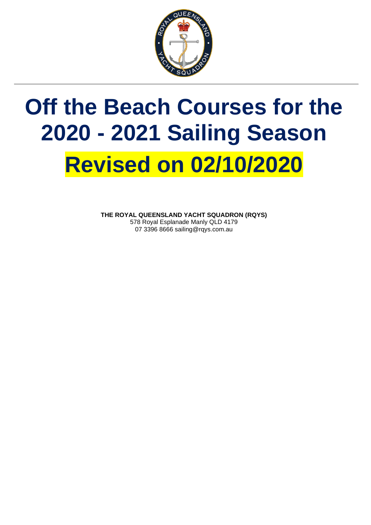

## **Off the Beach Courses for the 2020 - 2021 Sailing Season Revised on 02/10/2020**

**THE ROYAL QUEENSLAND YACHT SQUADRON (RQYS)** 578 Royal Esplanade Manly QLD 4179 07 3396 8666 sailing@rqys.com.au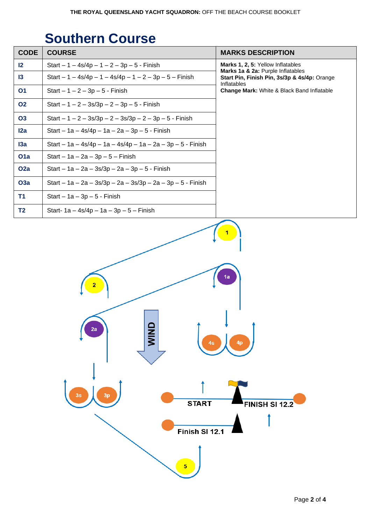## **Southern Course**

| Marks 1, 2, 5: Yellow Inflatables<br>12<br>Start $-1 - 4s/4p - 1 - 2 - 3p - 5 - 5$ - Finish<br>Marks 1a & 2a: Purple Inflatables<br>Start $-1 - 4s/4p - 1 - 4s/4p - 1 - 2 - 3p - 5 - F$ inish<br>$\mathsf{I}3$<br>Inflatables<br>01<br>Change Mark: White & Black Band Inflatable<br>Start $-1 - 2 - 3p - 5 -$ Finish<br><b>O2</b><br>Start $-1 - 2 - 3s/3p - 2 - 3p - 5 - F$ in sh | Start Pin, Finish Pin, 3s/3p & 4s/4p: Orange |
|-------------------------------------------------------------------------------------------------------------------------------------------------------------------------------------------------------------------------------------------------------------------------------------------------------------------------------------------------------------------------------------|----------------------------------------------|
|                                                                                                                                                                                                                                                                                                                                                                                     |                                              |
|                                                                                                                                                                                                                                                                                                                                                                                     |                                              |
|                                                                                                                                                                                                                                                                                                                                                                                     |                                              |
|                                                                                                                                                                                                                                                                                                                                                                                     |                                              |
| <b>O3</b><br>Start $-1 - 2 - 3s/3p - 2 - 3s/3p - 2 - 3p - 5 - F$ inish                                                                                                                                                                                                                                                                                                              |                                              |
| 12a<br>Start – 1a – 4s/4p – 1a – 2a – 3p – 5 - Finish                                                                                                                                                                                                                                                                                                                               |                                              |
| Start - 1a - 4s/4p - 1a - 4s/4p - 1a - 2a - 3p - 5 - Finish<br>13a                                                                                                                                                                                                                                                                                                                  |                                              |
| O <sub>1</sub> a<br>$Start - 1a - 2a - 3p - 5 - Finish$                                                                                                                                                                                                                                                                                                                             |                                              |
| O <sub>2</sub> a<br>Start - $1a - 2a - 3s/3p - 2a - 3p - 5 - F$ inish                                                                                                                                                                                                                                                                                                               |                                              |
| <b>O3a</b><br>Start - 1a - 2a - 3s/3p - 2a - 3s/3p - 2a - 3p - 5 - Finish                                                                                                                                                                                                                                                                                                           |                                              |
| <b>T1</b><br>Start $-1a-3p-5$ - Finish                                                                                                                                                                                                                                                                                                                                              |                                              |
| T <sub>2</sub><br>Start- $1a - 4s/4p - 1a - 3p - 5 - F$ inish                                                                                                                                                                                                                                                                                                                       |                                              |
| 1a<br>2a<br><b>NIM</b><br>4p<br>3s<br>3p<br><b>START</b><br>FINISH SI 12.2<br>Finish SI 12.1<br>$\overline{\mathbf{5}}$                                                                                                                                                                                                                                                             |                                              |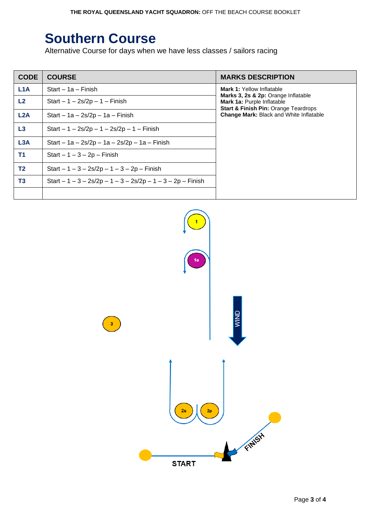## **Southern Course**

Alternative Course for days when we have less classes / sailors racing

| <b>CODE</b>      | <b>COURSE</b>                                                | <b>MARKS DESCRIPTION</b>                                                                                                                                                                            |
|------------------|--------------------------------------------------------------|-----------------------------------------------------------------------------------------------------------------------------------------------------------------------------------------------------|
| L <sub>1</sub> A | Start – 1a – Finish                                          | <b>Mark 1: Yellow Inflatable</b><br>Marks 3, 2s & 2p: Orange Inflatable<br>Mark 1a: Purple Inflatable<br><b>Start &amp; Finish Pin: Orange Teardrops</b><br>Change Mark: Black and White Inflatable |
| L2               | Start $-1 - 2s/2p - 1 - F$ inish                             |                                                                                                                                                                                                     |
| L2A              | Start $-$ 1a $-$ 2s/2p $-$ 1a $-$ Finish                     |                                                                                                                                                                                                     |
| L3               | Start $-1 - 2s/2p - 1 - 2s/2p - 1 - F$ inish                 |                                                                                                                                                                                                     |
| L <sub>3</sub> A | Start - $1a - 2s/2p - 1a - 2s/2p - 1a - Finish$              |                                                                                                                                                                                                     |
| <b>T1</b>        | $Start - 1 - 3 - 2p - Finish$                                |                                                                                                                                                                                                     |
| <b>T2</b>        | Start $-1 - 3 - 2s/2p - 1 - 3 - 2p - F$ inish                |                                                                                                                                                                                                     |
| T <sub>3</sub>   | Start $-1 - 3 - 2s/2p - 1 - 3 - 2s/2p - 1 - 3 - 2p$ – Finish |                                                                                                                                                                                                     |
|                  |                                                              |                                                                                                                                                                                                     |